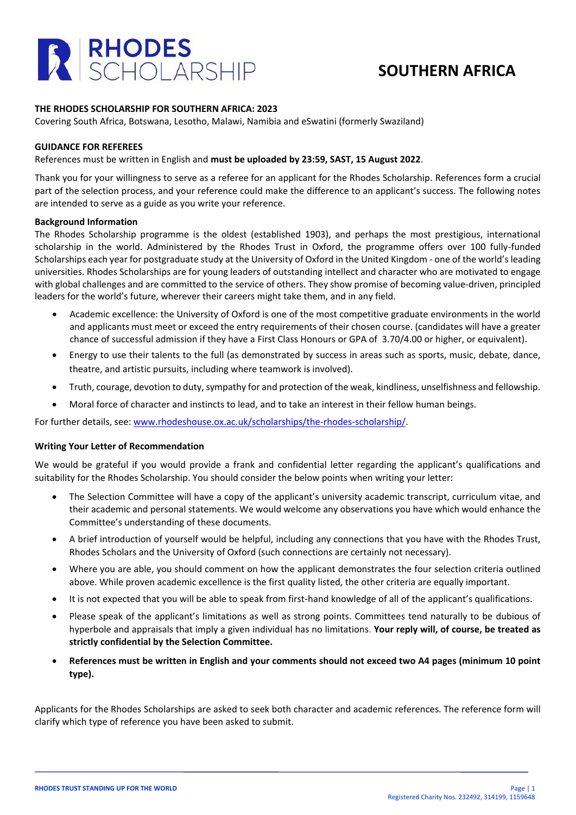

## **SOUTHERN AFRICA**

### **THE RHODES SCHOLARSHIP FOR SOUTHERN AFRICA: 2023**

Covering South Africa, Botswana, Lesotho, Malawi, Namibia and eSwatini (formerly Swaziland)

### **GUIDANCE FOR REFEREES**

### References must be written in English and **must be uploaded by 23:59, SAST, 15 August 2022**.

Thank you for your willingness to serve as a referee for an applicant for the Rhodes Scholarship. References form a crucial part of the selection process, and your reference could make the difference to an applicant's success. The following notes are intended to serve as a guide as you write your reference.

#### **Background Information**

The Rhodes Scholarship programme is the oldest (established 1903), and perhaps the most prestigious, international scholarship in the world. Administered by the Rhodes Trust in Oxford, the programme offers over 100 fully-funded Scholarships each year for postgraduate study at the University of Oxford in the United Kingdom - one of the world's leading universities. Rhodes Scholarships are for young leaders of outstanding intellect and character who are motivated to engage with global challenges and are committed to the service of others. They show promise of becoming value-driven, principled leaders for the world's future, wherever their careers might take them, and in any field.

- Academic excellence: the University of Oxford is one of the most competitive graduate environments in the world and applicants must meet or exceed the entry requirements of their chosen course. (candidates will have a greater chance of successful admission if they have a First Class Honours or GPA of 3.70/4.00 or higher, or equivalent).
- Energy to use their talents to the full (as demonstrated by success in areas such as sports, music, debate, dance, theatre, and artistic pursuits, including where teamwork is involved).
- Truth, courage, devotion to duty, sympathy for and protection of the weak, kindliness, unselfishness and fellowship.
- Moral force of character and instincts to lead, and to take an interest in their fellow human beings.

For further details, see: [www.rhodeshouse.ox.ac.uk/scholarships/the-rhodes-scholarship/.](http://www.rhodeshouse.ox.ac.uk/scholarships/the-rhodes-scholarship/)

### **Writing Your Letter of Recommendation**

We would be grateful if you would provide a frank and confidential letter regarding the applicant's qualifications and suitability for the Rhodes Scholarship. You should consider the below points when writing your letter:

- The Selection Committee will have a copy of the applicant's university academic transcript, curriculum vitae, and their academic and personal statements. We would welcome any observations you have which would enhance the Committee's understanding of these documents.
- A brief introduction of yourself would be helpful, including any connections that you have with the Rhodes Trust, Rhodes Scholars and the University of Oxford (such connections are certainly not necessary).
- Where you are able, you should comment on how the applicant demonstrates the four selection criteria outlined above. While proven academic excellence is the first quality listed, the other criteria are equally important.
- It is not expected that you will be able to speak from first-hand knowledge of all of the applicant's qualifications.
- Please speak of the applicant's limitations as well as strong points. Committees tend naturally to be dubious of hyperbole and appraisals that imply a given individual has no limitations. **Your reply will, of course, be treated as strictly confidential by the Selection Committee.**
- **References must be written in English and your comments should not exceed two A4 pages (minimum 10 point type).**

Applicants for the Rhodes Scholarships are asked to seek both character and academic references. The reference form will clarify which type of reference you have been asked to submit.